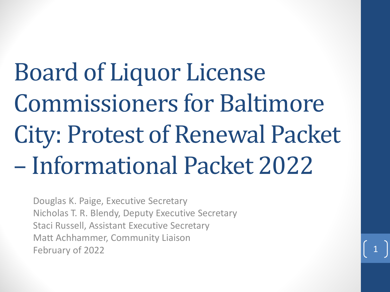Board of Liquor License Commissioners for Baltimore City: Protest of Renewal Packet – Informational Packet 2022

Douglas K. Paige, Executive Secretary Nicholas T. R. Blendy, Deputy Executive Secretary Staci Russell, Assistant Executive Secretary Matt Achhammer, Community Liaison February of 2022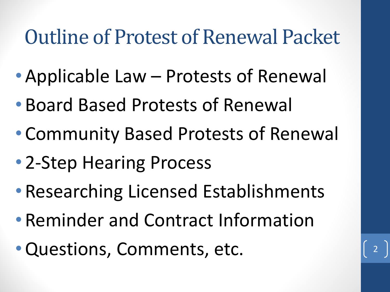### Outline of Protest of Renewal Packet

- •Applicable Law Protests of Renewal
- Board Based Protests of Renewal
- Community Based Protests of Renewal
- 2-Step Hearing Process
- Researching Licensed Establishments
- Reminder and Contract Information
- •Questions, Comments, etc. <sup>2</sup>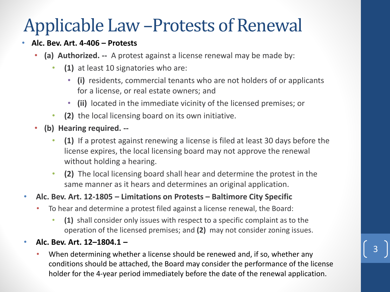# Applicable Law –Protests of Renewal • **Alc. Bev. Art. 4-406 – Protests**

- **(a) Authorized. --** A protest against a license renewal may be made by:
	- **(1)** at least 10 signatories who are:
		- **(i)** residents, commercial tenants who are not holders of or applicants for a license, or real estate owners; and
		- **(ii)** located in the immediate vicinity of the licensed premises; or
	- **(2)** the local licensing board on its own initiative.
- **(b) Hearing required. --**
	- **(1)** If a protest against renewing a license is filed at least 30 days before the license expires, the local licensing board may not approve the renewal without holding a hearing.
	- **(2)** The local licensing board shall hear and determine the protest in the same manner as it hears and determines an original application.

#### • **Alc. Bev. Art. 12-1805 – Limitations on Protests – Baltimore City Specific**

- To hear and determine a protest filed against a license renewal, the Board:
	- **(1)** shall consider only issues with respect to a specific complaint as to the operation of the licensed premises; and **(2)** may not consider zoning issues.

#### • **Alc. Bev. Art. 12–1804.1 –**

• When determining whether a license should be renewed and, if so, whether any conditions should be attached, the Board may consider the performance of the license holder for the 4-year period immediately before the date of the renewal application.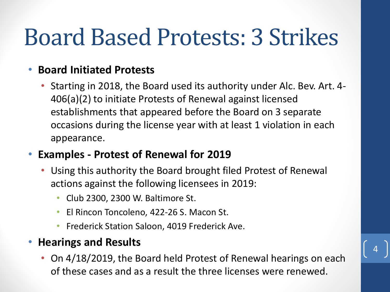# Board Based Protests: 3 Strikes

#### • **Board Initiated Protests**

• Starting in 2018, the Board used its authority under Alc. Bev. Art. 4- 406(a)(2) to initiate Protests of Renewal against licensed establishments that appeared before the Board on 3 separate occasions during the license year with at least 1 violation in each appearance.

#### • **Examples - Protest of Renewal for 2019**

- Using this authority the Board brought filed Protest of Renewal actions against the following licensees in 2019:
	- Club 2300, 2300 W. Baltimore St.
	- El Rincon Toncoleno, 422-26 S. Macon St.
	- Frederick Station Saloon, 4019 Frederick Ave.

#### • **Hearings and Results**

• On 4/18/2019, the Board held Protest of Renewal hearings on each of these cases and as a result the three licenses were renewed.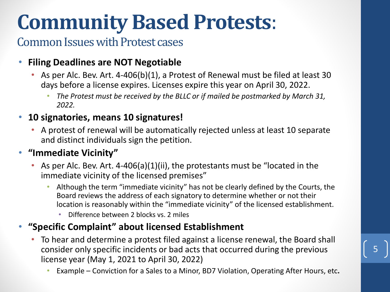## **Community Based Protests**:

### Common Issues with Protest cases

#### • **Filing Deadlines are NOT Negotiable**

- As per Alc. Bev. Art. 4-406(b)(1), a Protest of Renewal must be filed at least 30 days before a license expires. Licenses expire this year on April 30, 2022.
	- *The Protest must be received by the BLLC or if mailed be postmarked by March 31, 2022.*

#### • **10 signatories, means 10 signatures!**

• A protest of renewal will be automatically rejected unless at least 10 separate and distinct individuals sign the petition.

#### • **"Immediate Vicinity"**

- As per Alc. Bev. Art. 4-406(a)(1)(ii), the protestants must be "located in the immediate vicinity of the licensed premises"
	- Although the term "immediate vicinity" has not be clearly defined by the Courts, the Board reviews the address of each signatory to determine whether or not their location is reasonably within the "immediate vicinity" of the licensed establishment.
		- Difference between 2 blocks vs. 2 miles

#### • **"Specific Complaint" about licensed Establishment**

- To hear and determine a protest filed against a license renewal, the Board shall consider only specific incidents or bad acts that occurred during the previous license year (May 1, 2021 to April 30, 2022)
	- Example Conviction for a Sales to a Minor, BD7 Violation, Operating After Hours, etc**.**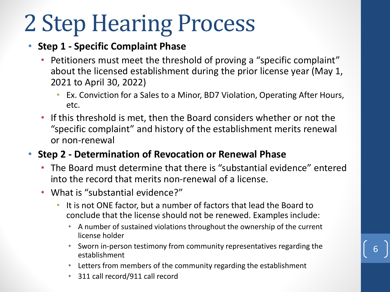# 2 Step Hearing Process

#### • **Step 1 - Specific Complaint Phase**

- Petitioners must meet the threshold of proving a "specific complaint" about the licensed establishment during the prior license year (May 1, 2021 to April 30, 2022)
	- Ex. Conviction for a Sales to a Minor, BD7 Violation, Operating After Hours, etc.
- If this threshold is met, then the Board considers whether or not the "specific complaint" and history of the establishment merits renewal or non-renewal
- **Step 2 - Determination of Revocation or Renewal Phase**
	- The Board must determine that there is "substantial evidence" entered into the record that merits non-renewal of a license.
	- What is "substantial evidence?"
		- It is not ONE factor, but a number of factors that lead the Board to conclude that the license should not be renewed. Examples include:
			- A number of sustained violations throughout the ownership of the current license holder
			- Sworn in-person testimony from community representatives regarding the establishment

- Letters from members of the community regarding the establishment
- 311 call record/911 call record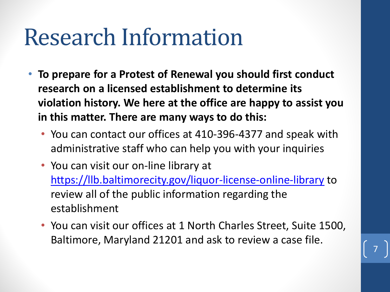# Research Information

- **To prepare for a Protest of Renewal you should first conduct research on a licensed establishment to determine its violation history. We here at the office are happy to assist you in this matter. There are many ways to do this:**
	- You can contact our offices at 410-396-4377 and speak with administrative staff who can help you with your inquiries
	- You can visit our on-line library at <https://llb.baltimorecity.gov/liquor-license-online-library> to review all of the public information regarding the establishment
	- You can visit our offices at 1 North Charles Street, Suite 1500, Baltimore, Maryland 21201 and ask to review a case file.